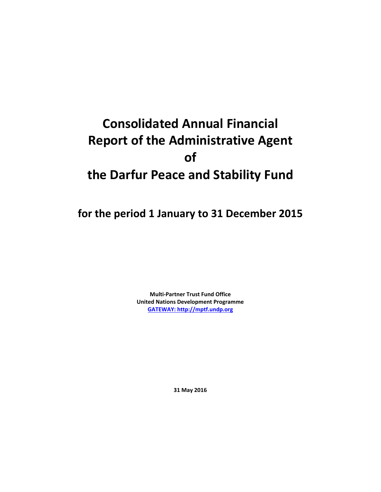# **Consolidated Annual Financial Report of the Administrative Agent of the Darfur Peace and Stability Fund**

**for the period 1 January to 31 December 2015**

**Multi-Partner Trust Fund Office United Nations Development Programme [GATEWAY: http://mptf.undp.org](http://mptf.undp.org/)**

**31 May 2016**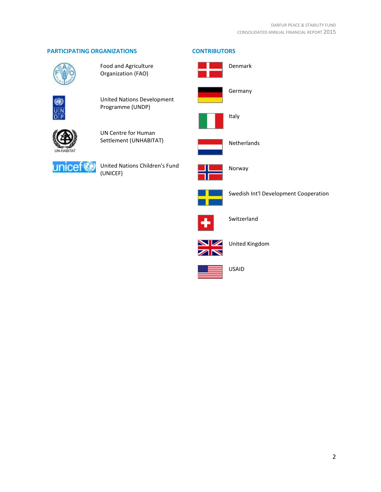# **PARTICIPATING ORGANIZATIONS CONTRIBUTORS**



Food and Agriculture Organization (FAO)



United Nations Development Programme (UNDP)



UN Centre for Human Settlement (UNHABITAT)



United Nations Children's Fund (UNICEF)





Netherlands



Norway



Swedish Int'l Development Cooperation



Switzerland



United Kingdom



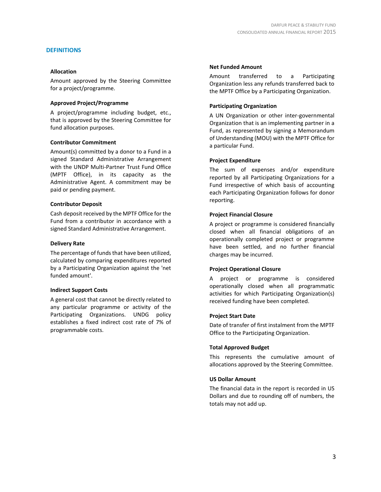#### **DEFINITIONS**

#### **Allocation**

Amount approved by the Steering Committee for a project/programme.

#### **Approved Project/Programme**

A project/programme including budget, etc., that is approved by the Steering Committee for fund allocation purposes.

#### **Contributor Commitment**

Amount(s) committed by a donor to a Fund in a signed Standard Administrative Arrangement with the UNDP Multi-Partner Trust Fund Office (MPTF Office), in its capacity as the Administrative Agent. A commitment may be paid or pending payment.

#### **Contributor Deposit**

Cash deposit received by the MPTF Office for the Fund from a contributor in accordance with a signed Standard Administrative Arrangement.

#### **Delivery Rate**

The percentage of funds that have been utilized, calculated by comparing expenditures reported by a Participating Organization against the 'net funded amount'.

#### **Indirect Support Costs**

A general cost that cannot be directly related to any particular programme or activity of the Participating Organizations. UNDG policy establishes a fixed indirect cost rate of 7% of programmable costs.

#### **Net Funded Amount**

Amount transferred to a Participating Organization less any refunds transferred back to the MPTF Office by a Participating Organization.

#### **Participating Organization**

A UN Organization or other inter-governmental Organization that is an implementing partner in a Fund, as represented by signing a Memorandum of Understanding (MOU) with the MPTF Office for a particular Fund.

## **Project Expenditure**

The sum of expenses and/or expenditure reported by all Participating Organizations for a Fund irrespective of which basis of accounting each Participating Organization follows for donor reporting.

#### **Project Financial Closure**

A project or programme is considered financially closed when all financial obligations of an operationally completed project or programme have been settled, and no further financial charges may be incurred.

#### **Project Operational Closure**

A project or programme is considered operationally closed when all programmatic activities for which Participating Organization(s) received funding have been completed.

#### **Project Start Date**

Date of transfer of first instalment from the MPTF Office to the Participating Organization.

## **Total Approved Budget**

This represents the cumulative amount of allocations approved by the Steering Committee.

#### **US Dollar Amount**

The financial data in the report is recorded in US Dollars and due to rounding off of numbers, the totals may not add up.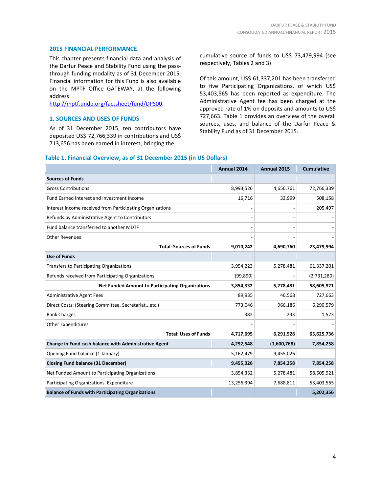#### **2015 FINANCIAL PERFORMANCE**

This chapter presents financial data and analysis of the Darfur Peace and Stability Fund using the passthrough funding modality as of 31 December 2015. Financial information for this Fund is also available on the MPTF Office GATEWAY, at the following address:

[http://mptf.undp.org/factsheet/fund/DPS00.](http://mptf.undp.org/factsheet/fund/DPS00)

#### **1. SOURCES AND USES OF FUNDS**

As of 31 December 2015, ten contributors have deposited US\$ 72,766,339 in contributions and US\$ 713,656 has been earned in interest, bringing the

cumulative source of funds to US\$ 73,479,994 (see respectively, Tables 2 and 3)

Of this amount, US\$ 61,337,201 has been transferred to five Participating Organizations, of which US\$ 53,403,565 has been reported as expenditure. The Administrative Agent fee has been charged at the approved rate of 1% on deposits and amounts to US\$ 727,663. Table 1 provides an overview of the overall sources, uses, and balance of the Darfur Peace & Stability Fund as of 31 December 2015.

#### **Table 1. Financial Overview, as of 31 December 2015 (in US Dollars)**

|                                                           | Annual 2014 | <b>Annual 2015</b> | <b>Cumulative</b> |
|-----------------------------------------------------------|-------------|--------------------|-------------------|
| <b>Sources of Funds</b>                                   |             |                    |                   |
| <b>Gross Contributions</b>                                | 8,993,526   | 4,656,761          | 72,766,339        |
| Fund Earned Interest and Investment Income                | 16,716      | 33,999             | 508,158           |
| Interest Income received from Participating Organizations |             |                    | 205,497           |
| Refunds by Administrative Agent to Contributors           |             |                    |                   |
| Fund balance transferred to another MDTF                  |             |                    |                   |
| <b>Other Revenues</b>                                     |             |                    |                   |
| <b>Total: Sources of Funds</b>                            | 9,010,242   | 4,690,760          | 73,479,994        |
| <b>Use of Funds</b>                                       |             |                    |                   |
| <b>Transfers to Participating Organizations</b>           | 3,954,223   | 5,278,481          | 61,337,201        |
| Refunds received from Participating Organizations         | (99, 890)   |                    | (2,731,280)       |
| <b>Net Funded Amount to Participating Organizations</b>   | 3,854,332   | 5,278,481          | 58,605,921        |
| <b>Administrative Agent Fees</b>                          | 89,935      | 46,568             | 727,663           |
| Direct Costs: (Steering Committee, Secretariatetc.)       | 773,046     | 966,186            | 6,290,579         |
| <b>Bank Charges</b>                                       | 382         | 293                | 1,573             |
| Other Expenditures                                        |             |                    |                   |
| <b>Total: Uses of Funds</b>                               | 4,717,695   | 6,291,528          | 65,625,736        |
| Change in Fund cash balance with Administrative Agent     | 4,292,548   | (1,600,768)        | 7,854,258         |
| Opening Fund balance (1 January)                          | 5,162,479   | 9,455,026          |                   |
| <b>Closing Fund balance (31 December)</b>                 | 9,455,026   | 7,854,258          | 7,854,258         |
| Net Funded Amount to Participating Organizations          | 3,854,332   | 5,278,481          | 58,605,921        |
| Participating Organizations' Expenditure                  | 13,256,394  | 7,688,811          | 53,403,565        |
| <b>Balance of Funds with Participating Organizations</b>  |             |                    | 5,202,356         |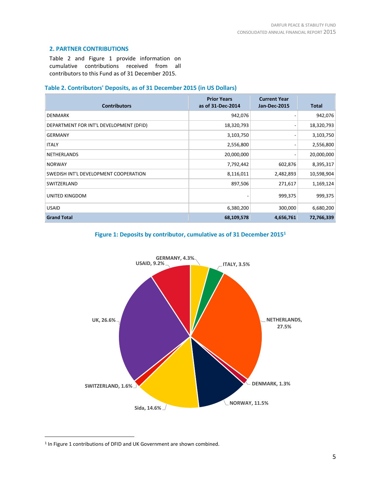# **2. PARTNER CONTRIBUTIONS**

Table 2 and Figure 1 provide information on cumulative contributions received from all contributors to this Fund as of 31 December 2015.

# **Table 2. Contributors' Deposits, as of 31 December 2015 (in US Dollars)**

| <b>Contributors</b>                     | <b>Prior Years</b><br>as of 31-Dec-2014 | <b>Current Year</b><br><b>Jan-Dec-2015</b> | <b>Total</b> |
|-----------------------------------------|-----------------------------------------|--------------------------------------------|--------------|
| <b>DENMARK</b>                          | 942,076                                 |                                            | 942,076      |
| DEPARTMENT FOR INT'L DEVELOPMENT (DFID) | 18,320,793                              |                                            | 18,320,793   |
| <b>GERMANY</b>                          | 3,103,750                               |                                            | 3,103,750    |
| <b>ITALY</b>                            | 2,556,800                               |                                            | 2,556,800    |
| <b>NETHERLANDS</b>                      | 20,000,000                              |                                            | 20,000,000   |
| <b>NORWAY</b>                           | 7,792,442                               | 602,876                                    | 8,395,317    |
| SWEDISH INT'L DEVELOPMENT COOPERATION   | 8,116,011                               | 2,482,893                                  | 10,598,904   |
| SWITZERLAND                             | 897,506                                 | 271,617                                    | 1,169,124    |
| UNITED KINGDOM                          |                                         | 999,375                                    | 999,375      |
| <b>USAID</b>                            | 6,380,200                               | 300,000                                    | 6,680,200    |
| <b>Grand Total</b>                      | 68,109,578                              | 4,656,761                                  | 72,766,339   |





<sup>&</sup>lt;sup>1</sup> In Figure 1 contributions of DFID and UK Government are shown combined.

 $\overline{a}$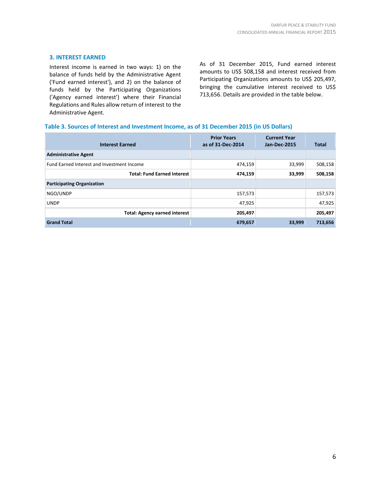### **3. INTEREST EARNED**

Interest income is earned in two ways: 1) on the balance of funds held by the Administrative Agent ('Fund earned interest'), and 2) on the balance of funds held by the Participating Organizations ('Agency earned interest') where their Financial Regulations and Rules allow return of interest to the Administrative Agent.

As of 31 December 2015, Fund earned interest amounts to US\$ 508,158 and interest received from Participating Organizations amounts to US\$ 205,497, bringing the cumulative interest received to US\$ 713,656. Details are provided in the table below.

#### **Table 3. Sources of Interest and Investment Income, as of 31 December 2015 (in US Dollars)**

| <b>Interest Earned</b>                            | <b>Prior Years</b><br>as of 31-Dec-2014 | <b>Current Year</b><br><b>Jan-Dec-2015</b> | <b>Total</b> |
|---------------------------------------------------|-----------------------------------------|--------------------------------------------|--------------|
| <b>Administrative Agent</b>                       |                                         |                                            |              |
| <b>Fund Earned Interest and Investment Income</b> | 474,159                                 | 33,999                                     | 508,158      |
| <b>Total: Fund Earned Interest</b>                | 474,159                                 | 33,999                                     | 508,158      |
| <b>Participating Organization</b>                 |                                         |                                            |              |
| NGO/UNDP                                          | 157,573                                 |                                            | 157,573      |
| <b>UNDP</b>                                       | 47,925                                  |                                            | 47,925       |
| <b>Total: Agency earned interest</b>              | 205,497                                 |                                            | 205,497      |
| <b>Grand Total</b>                                | 679,657                                 | 33,999                                     | 713,656      |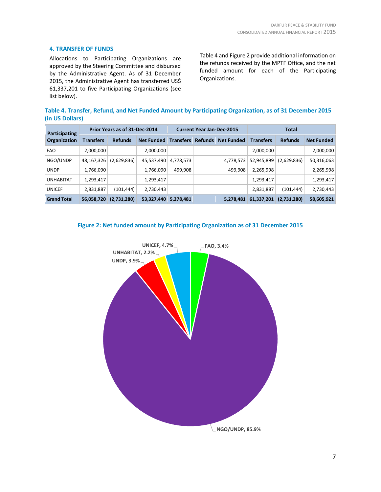# **4. TRANSFER OF FUNDS**

Allocations to Participating Organizations are approved by the Steering Committee and disbursed by the Administrative Agent. As of 31 December 2015, the Administrative Agent has transferred US\$ 61,337,201 to five Participating Organizations (see list below).

Table 4 and Figure 2 provide additional information on the refunds received by the MPTF Office, and the net funded amount for each of the Participating Organizations.

**Table 4. Transfer, Refund, and Net Funded Amount by Participating Organization, as of 31 December 2015 (in US Dollars)**

| Participating<br>Organization | Prior Years as of 31-Dec-2014 |                |                   | <b>Current Year Jan-Dec-2015</b> |                |                   | <b>Total</b>     |                |                   |
|-------------------------------|-------------------------------|----------------|-------------------|----------------------------------|----------------|-------------------|------------------|----------------|-------------------|
|                               | <b>Transfers</b>              | <b>Refunds</b> | <b>Net Funded</b> | <b>Transfers</b>                 | <b>Refunds</b> | <b>Net Funded</b> | <b>Transfers</b> | <b>Refunds</b> | <b>Net Funded</b> |
| <b>FAO</b>                    | 2,000,000                     |                | 2,000,000         |                                  |                |                   | 2,000,000        |                | 2,000,000         |
| NGO/UNDP                      | 48,167,326                    | (2,629,836)    | 45,537,490        | 4,778,573                        |                | 4,778,573         | 52,945,899       | (2,629,836)    | 50,316,063        |
| <b>UNDP</b>                   | 1,766,090                     |                | 1,766,090         | 499,908                          |                | 499,908           | 2,265,998        |                | 2,265,998         |
| <b>UNHABITAT</b>              | 1,293,417                     |                | 1,293,417         |                                  |                |                   | 1,293,417        |                | 1,293,417         |
| <b>UNICEF</b>                 | 2,831,887                     | (101, 444)     | 2,730,443         |                                  |                |                   | 2,831,887        | (101, 444)     | 2,730,443         |
| <b>Grand Total</b>            | 56,058,720                    | (2,731,280)    | 53,327,440        | 5,278,481                        |                | 5,278,481         | 61,337,201       | (2,731,280)    | 58,605,921        |



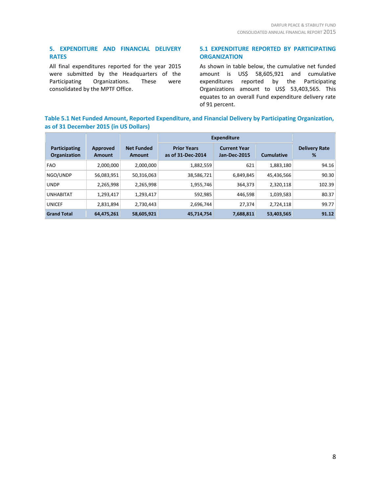# **5. EXPENDITURE AND FINANCIAL DELIVERY RATES**

All final expenditures reported for the year 2015 were submitted by the Headquarters of the Participating Organizations. These were consolidated by the MPTF Office.

# **5.1 EXPENDITURE REPORTED BY PARTICIPATING ORGANIZATION**

As shown in table below, the cumulative net funded amount is US\$ 58,605,921 and cumulative expenditures reported by the Participating Organizations amount to US\$ 53,403,565. This equates to an overall Fund expenditure delivery rate of 91 percent.

# **Table 5.1 Net Funded Amount, Reported Expenditure, and Financial Delivery by Participating Organization, as of 31 December 2015 (in US Dollars)**

|                               |                           |                                    | <b>Expenditure</b>                      |                                     |                   |                           |
|-------------------------------|---------------------------|------------------------------------|-----------------------------------------|-------------------------------------|-------------------|---------------------------|
| Participating<br>Organization | Approved<br><b>Amount</b> | <b>Net Funded</b><br><b>Amount</b> | <b>Prior Years</b><br>as of 31-Dec-2014 | <b>Current Year</b><br>Jan-Dec-2015 | <b>Cumulative</b> | <b>Delivery Rate</b><br>% |
| <b>FAO</b>                    | 2,000,000                 | 2,000,000                          | 1,882,559                               | 621                                 | 1,883,180         | 94.16                     |
| NGO/UNDP                      | 56,083,951                | 50,316,063                         | 38,586,721                              | 6,849,845                           | 45,436,566        | 90.30                     |
| <b>UNDP</b>                   | 2,265,998                 | 2,265,998                          | 1,955,746                               | 364,373                             | 2,320,118         | 102.39                    |
| <b>UNHABITAT</b>              | 1,293,417                 | 1,293,417                          | 592,985                                 | 446,598                             | 1,039,583         | 80.37                     |
| <b>UNICEF</b>                 | 2,831,894                 | 2,730,443                          | 2,696,744                               | 27,374                              | 2,724,118         | 99.77                     |
| <b>Grand Total</b>            | 64,475,261                | 58,605,921                         | 45,714,754                              | 7,688,811                           | 53,403,565        | 91.12                     |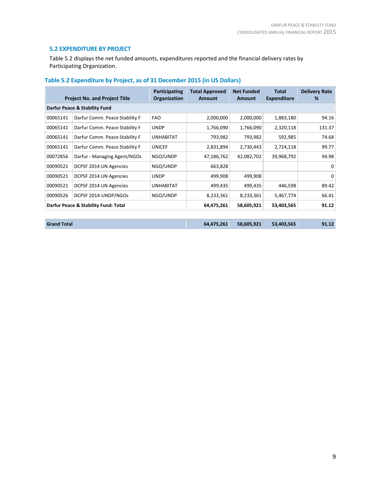# **5.2 EXPENDITURE BY PROJECT**

Table 5.2 displays the net funded amounts, expenditures reported and the financial delivery rates by Participating Organization.

| <b>Project No. and Project Title</b> |                                | Participating<br>Organization | <b>Total Approved</b><br><b>Net Funded</b><br>Amount<br>Amount |            | <b>Total</b><br><b>Expenditure</b> | <b>Delivery Rate</b><br>℅ |
|--------------------------------------|--------------------------------|-------------------------------|----------------------------------------------------------------|------------|------------------------------------|---------------------------|
| Darfur Peace & Stability Fund        |                                |                               |                                                                |            |                                    |                           |
| 00065141                             | Darfur Comm. Peace Stability F | <b>FAO</b>                    | 2,000,000                                                      | 2,000,000  | 1,883,180                          | 94.16                     |
| 00065141                             | Darfur Comm. Peace Stability F | <b>UNDP</b>                   | 1,766,090                                                      | 1,766,090  | 2,320,118                          | 131.37                    |
| 00065141                             | Darfur Comm. Peace Stability F | <b>UNHABITAT</b>              | 793,982                                                        | 793,982    | 592,985                            | 74.68                     |
| 00065141                             | Darfur Comm. Peace Stability F | <b>UNICEF</b>                 | 2,831,894                                                      | 2,730,443  | 2,724,118                          | 99.77                     |
| 00072856                             | Darfur - Managing Agent/NGOs   | NGO/UNDP                      | 47,186,762                                                     | 42,082,702 | 39,968,792                         | 94.98                     |
| 00090521                             | DCPSF 2014 UN Agencies         | NGO/UNDP                      | 663,828                                                        |            |                                    | $\Omega$                  |
| 00090521                             | DCPSF 2014 UN Agencies         | <b>UNDP</b>                   | 499,908                                                        | 499,908    |                                    | $\Omega$                  |
| 00090521                             | DCPSF 2014 UN Agencies         | <b>UNHABITAT</b>              | 499,435                                                        | 499,435    | 446,598                            | 89.42                     |
| 00090526                             | DCPSF 2014-UNDP/NGOs           | NGO/UNDP                      | 8,233,361                                                      | 8,233,361  | 5,467,774                          | 66.41                     |
| Darfur Peace & Stability Fund: Total |                                | 64,475,261                    | 58,605,921                                                     | 53,403,565 | 91.12                              |                           |
|                                      |                                |                               |                                                                |            |                                    |                           |

**Grand Total 64,475,261 58,605,921 53,403,565 91.12**

# **Table 5.2 Expenditure by Project, as of 31 December 2015 (in US Dollars)**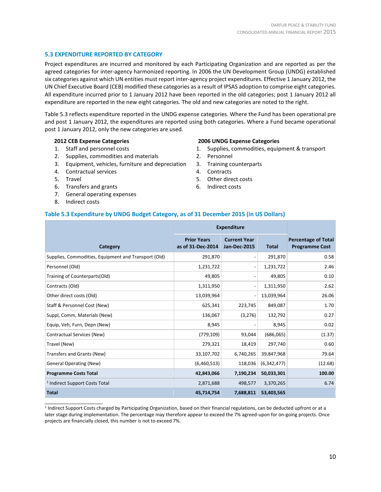## **5.3 EXPENDITURE REPORTED BY CATEGORY**

Project expenditures are incurred and monitored by each Participating Organization and are reported as per the agreed categories for inter-agency harmonized reporting. In 2006 the UN Development Group (UNDG) established six categories against which UN entities must report inter-agency project expenditures. Effective 1 January 2012, the UN Chief Executive Board (CEB) modified these categories as a result of IPSAS adoption to comprise eight categories. All expenditure incurred prior to 1 January 2012 have been reported in the old categories; post 1 January 2012 all expenditure are reported in the new eight categories. The old and new categories are noted to the right.

Table 5.3 reflects expenditure reported in the UNDG expense categories. Where the Fund has been operational pre and post 1 January 2012, the expenditures are reported using both categories. Where a Fund became operational post 1 January 2012, only the new categories are used.

#### **2012 CEB Expense Categories**

- 1. Staff and personnel costs
- 2. Supplies, commodities and materials
- 3. Equipment, vehicles, furniture and depreciation
- 4. Contractual services
- 5. Travel
- 6. Transfers and grants
- 7. General operating expenses
- 8. Indirect costs

\_\_\_\_\_\_\_\_\_\_\_\_\_\_\_\_\_\_\_\_\_\_

#### **2006 UNDG Expense Categories**

- 1. Supplies, commodities, equipment & transport
- 2. Personnel
- 3. Training counterparts
- 4. Contracts
- 5. Other direct costs
- 6. Indirect costs

#### **Table 5.3 Expenditure by UNDG Budget Category, as of 31 December 2015 (in US Dollars)**

|                                                      | <b>Expenditure</b>                      |                                            |              |                                                     |
|------------------------------------------------------|-----------------------------------------|--------------------------------------------|--------------|-----------------------------------------------------|
| Category                                             | <b>Prior Years</b><br>as of 31-Dec-2014 | <b>Current Year</b><br><b>Jan-Dec-2015</b> | <b>Total</b> | <b>Percentage of Total</b><br><b>Programme Cost</b> |
| Supplies, Commodities, Equipment and Transport (Old) | 291,870                                 |                                            | 291,870      | 0.58                                                |
| Personnel (Old)                                      | 1,231,722                               |                                            | 1,231,722    | 2.46                                                |
| Training of Counterparts(Old)                        | 49,805                                  |                                            | 49,805       | 0.10                                                |
| Contracts (Old)                                      | 1,311,950                               |                                            | 1,311,950    | 2.62                                                |
| Other direct costs (Old)                             | 13,039,964                              |                                            | 13,039,964   | 26.06                                               |
| Staff & Personnel Cost (New)                         | 625,341                                 | 223,745                                    | 849,087      | 1.70                                                |
| Suppl, Comm, Materials (New)                         | 136,067                                 | (3,276)                                    | 132,792      | 0.27                                                |
| Equip, Veh, Furn, Depn (New)                         | 8,945                                   |                                            | 8,945        | 0.02                                                |
| Contractual Services (New)                           | (779, 109)                              | 93,044                                     | (686,065)    | (1.37)                                              |
| Travel (New)                                         | 279,321                                 | 18,419                                     | 297,740      | 0.60                                                |
| Transfers and Grants (New)                           | 33,107,702                              | 6,740,265                                  | 39,847,968   | 79.64                                               |
| <b>General Operating (New)</b>                       | (6,460,513)                             | 118,036                                    | (6,342,477)  | (12.68)                                             |
| <b>Programme Costs Total</b>                         | 42,843,066                              | 7,190,234                                  | 50,033,301   | 100.00                                              |
| <sup>1</sup> Indirect Support Costs Total            | 2,871,688                               | 498,577                                    | 3,370,265    | 6.74                                                |
| <b>Total</b>                                         | 45,714,754                              | 7,688,811                                  | 53,403,565   |                                                     |

<sup>1</sup> Indirect Support Costs charged by Participating Organization, based on their financial regulations, can be deducted upfront or at a later stage during implementation. The percentage may therefore appear to exceed the 7% agreed-upon for on-going projects. Once projects are financially closed, this number is not to exceed 7%.